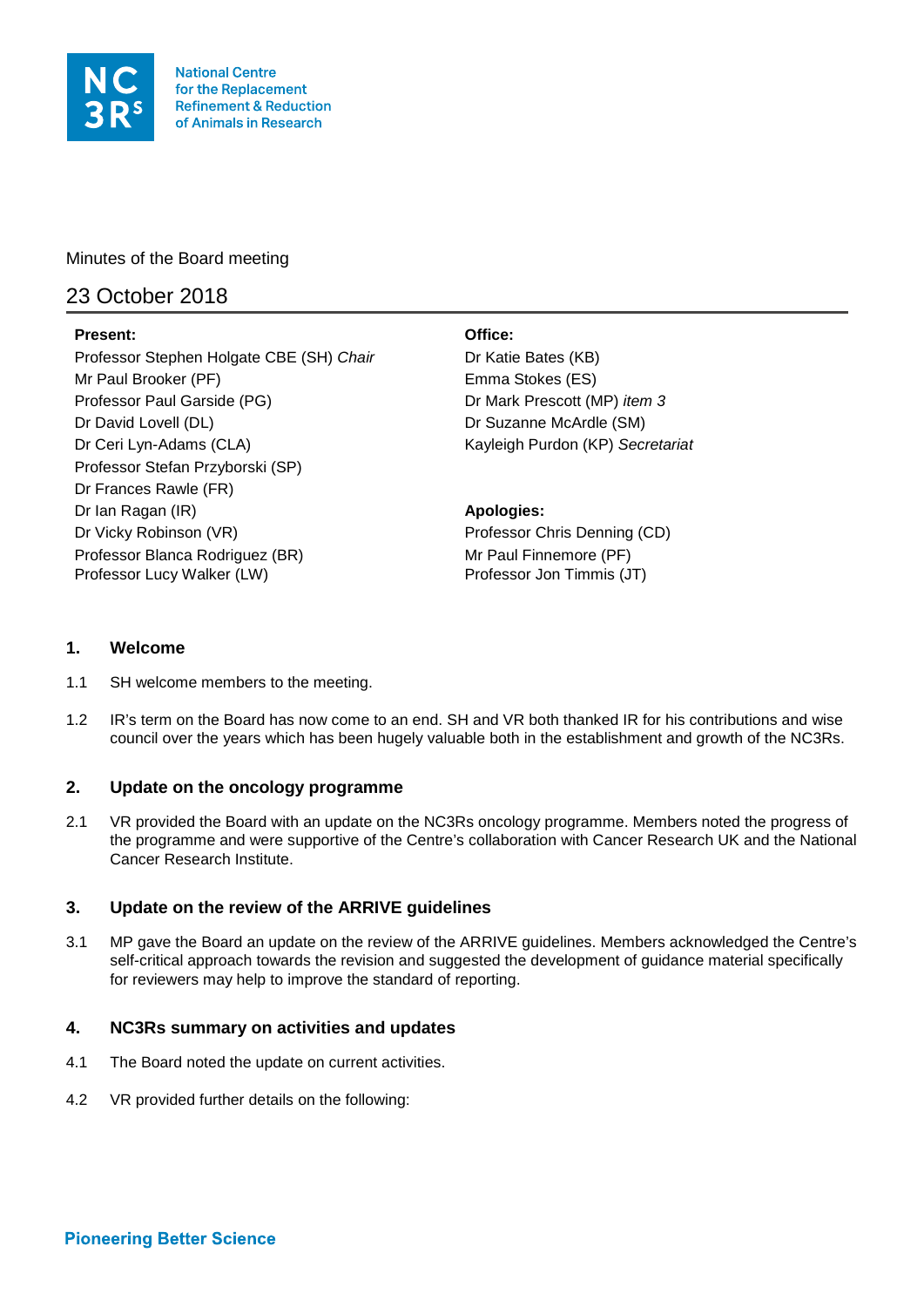

**National Centre** for the Replacement **Refinement & Reduction** of Animals in Research

Minutes of the Board meeting

# 23 October 2018

# **Present: Office:**

Professor Stephen Holgate CBE (SH) *Chair* Dr Katie Bates (KB) Mr Paul Brooker (PF) Emma Stokes (ES) Professor Paul Garside (PG) **Dressor Paul Garside (PG)** Dressort (MP) *item 3* Dr David Lovell (DL) Dr Suzanne McArdle (SM) Dr Ceri Lyn-Adams (CLA) Kayleigh Purdon (KP) *Secretariat* Professor Stefan Przyborski (SP) Dr Frances Rawle (FR) Dr Ian Ragan (IR) **Apologies: Apologies: Apologies: Apologies: Apologies: Apologies: Apologies: Apologies: Apologies: Apologies: Apologies: Apologies: Apologies: Apologies: Apologies: Apologie** Dr Vicky Robinson (VR) **Professor Chris Denning (CD)** Professor Blanca Rodriguez (BR) Mr Paul Finnemore (PF) Professor Lucy Walker (LW) Professor Jon Timmis (JT)

# **1. Welcome**

- 1.1 SH welcome members to the meeting.
- 1.2 IR's term on the Board has now come to an end. SH and VR both thanked IR for his contributions and wise council over the years which has been hugely valuable both in the establishment and growth of the NC3Rs.

# **2. Update on the oncology programme**

2.1 VR provided the Board with an update on the NC3Rs oncology programme. Members noted the progress of the programme and were supportive of the Centre's collaboration with Cancer Research UK and the National Cancer Research Institute.

# **3. Update on the review of the ARRIVE guidelines**

3.1 MP gave the Board an update on the review of the ARRIVE guidelines. Members acknowledged the Centre's self-critical approach towards the revision and suggested the development of guidance material specifically for reviewers may help to improve the standard of reporting.

# **4. NC3Rs summary on activities and updates**

- 4.1 The Board noted the update on current activities.
- 4.2 VR provided further details on the following: